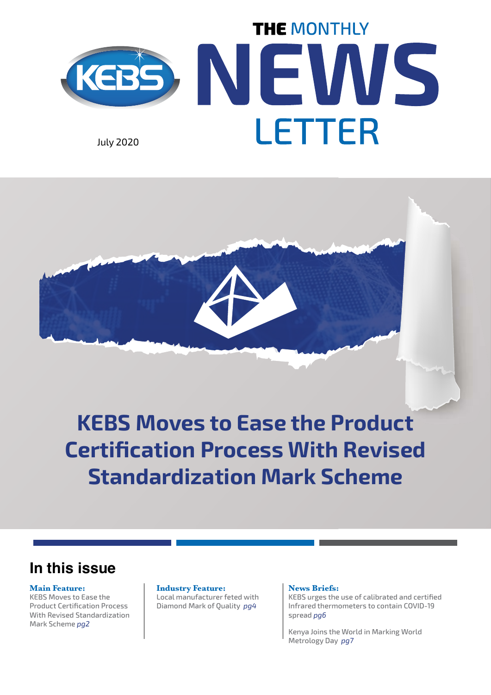



**KEBS Moves to Ease the Product Certification Process With Revised Standardization Mark Scheme**

## **In this issue**

## **Main Feature:**

KEBS Moves to Ease the Product Certification Process With Revised Standardization Mark Scheme *pg2*

#### **Industry Feature:**

Local manufacturer feted with Diamond Mark of Quality *pg4*

### **News Briefs:**

KEBS urges the use of calibrated and certified Infrared thermometers to contain COVID-19 spread *pg6*

Kenya Joins the World in Marking World Metrology Day *pg7*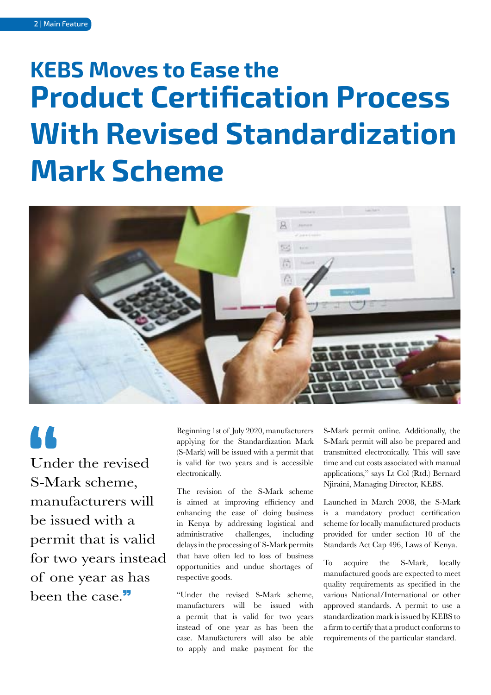# **Product Certification Process With Revised Standardization Mark Scheme KEBS Moves to Ease the**



66 Under the revised S-Mark scheme, manufacturers will be issued with a permit that is valid for two years instead

of one year as has been the case."

Beginning 1st of July 2020, manufacturers applying for the Standardization Mark (S-Mark) will be issued with a permit that is valid for two years and is accessible electronically.

The revision of the S-Mark scheme is aimed at improving efficiency and enhancing the ease of doing business in Kenya by addressing logistical and administrative challenges, including delays in the processing of S-Mark permits that have often led to loss of business opportunities and undue shortages of respective goods.

"Under the revised S-Mark scheme, manufacturers will be issued with a permit that is valid for two years instead of one year as has been the case. Manufacturers will also be able to apply and make payment for the S-Mark permit online. Additionally, the S-Mark permit will also be prepared and transmitted electronically. This will save time and cut costs associated with manual applications," says Lt Col (Rtd.) Bernard Njiraini, Managing Director, KEBS.

Launched in March 2008, the S-Mark is a mandatory product certification scheme for locally manufactured products provided for under section 10 of the Standards Act Cap 496, Laws of Kenya.

To acquire the S-Mark, locally manufactured goods are expected to meet quality requirements as specified in the various National/International or other approved standards. A permit to use a standardization mark is issued by KEBS to a firm to certify that a product conforms to requirements of the particular standard.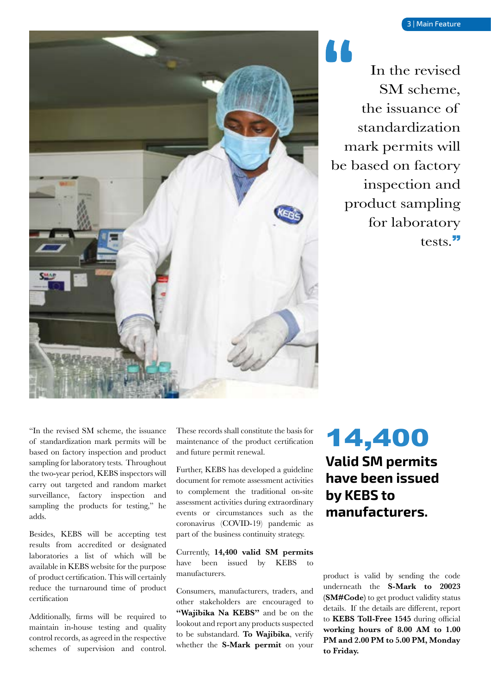

In the revised SM scheme, the issuance of standardization mark permits will be based on factory inspection and product sampling for laboratory tests."

"In the revised SM scheme, the issuance of standardization mark permits will be based on factory inspection and product sampling for laboratory tests. Throughout the two-year period, KEBS inspectors will carry out targeted and random market surveillance, factory inspection and sampling the products for testing," he adds.

Besides, KEBS will be accepting test results from accredited or designated laboratories a list of which will be available in KEBS website for the purpose of product certification. This will certainly reduce the turnaround time of product certification

Additionally, firms will be required to maintain in-house testing and quality control records, as agreed in the respective schemes of supervision and control.

These records shall constitute the basis for maintenance of the product certification and future permit renewal.

Further, KEBS has developed a guideline document for remote assessment activities to complement the traditional on-site assessment activities during extraordinary events or circumstances such as the coronavirus (COVID-19) pandemic as part of the business continuity strategy.

Currently, **14,400 valid SM permits** have been issued by KEBS manufacturers.

Consumers, manufacturers, traders, and other stakeholders are encouraged to **"Wajibika Na KEBS"** and be on the lookout and report any products suspected to be substandard. **To Wajibika**, verify whether the **S-Mark permit** on your

## **Valid SM permits have been issued by KEBS to manufacturers.** 14,400

product is valid by sending the code underneath the **S-Mark to 20023 (SM#Code)** to get product validity status details. If the details are different, report to **KEBS Toll-Free 1545** during official **working hours of 8.00 AM to 1.00 PM and 2.00 PM to 5.00 PM, Monday to Friday.**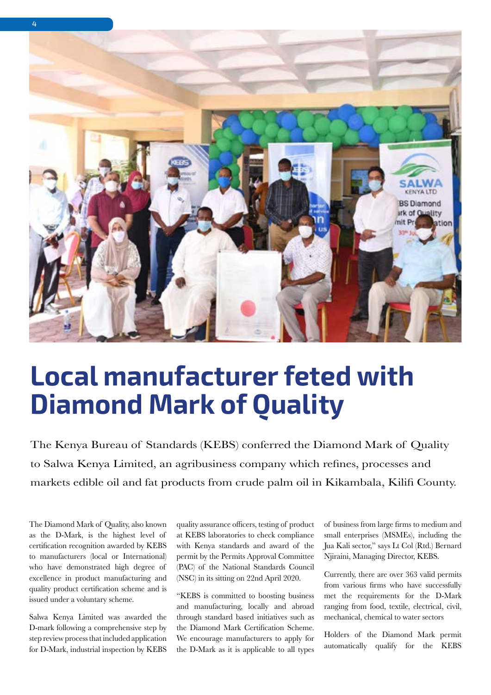

# **Local manufacturer feted with Diamond Mark of Quality**

The Kenya Bureau of Standards (KEBS) conferred the Diamond Mark of Quality to Salwa Kenya Limited, an agribusiness company which refines, processes and markets edible oil and fat products from crude palm oil in Kikambala, Kilifi County.

The Diamond Mark of Quality, also known as the D-Mark, is the highest level of certification recognition awarded by KEBS to manufacturers (local or International) who have demonstrated high degree of excellence in product manufacturing and quality product certification scheme and is issued under a voluntary scheme.

Salwa Kenya Limited was awarded the D-mark following a comprehensive step by step review process that included application for D-Mark, industrial inspection by KEBS

quality assurance officers, testing of product at KEBS laboratories to check compliance with Kenya standards and award of the permit by the Permits Approval Committee (PAC) of the National Standards Council (NSC) in its sitting on 22nd April 2020.

"KEBS is committed to boosting business and manufacturing, locally and abroad through standard based initiatives such as the Diamond Mark Certification Scheme. We encourage manufacturers to apply for the D-Mark as it is applicable to all types of business from large firms to medium and small enterprises (MSMEs), including the Jua Kali sector," says Lt Col (Rtd.) Bernard Njiraini, Managing Director, KEBS.

Currently, there are over 363 valid permits from various firms who have successfully met the requirements for the D-Mark ranging from food, textile, electrical, civil, mechanical, chemical to water sectors

Holders of the Diamond Mark permit automatically qualify for the KEBS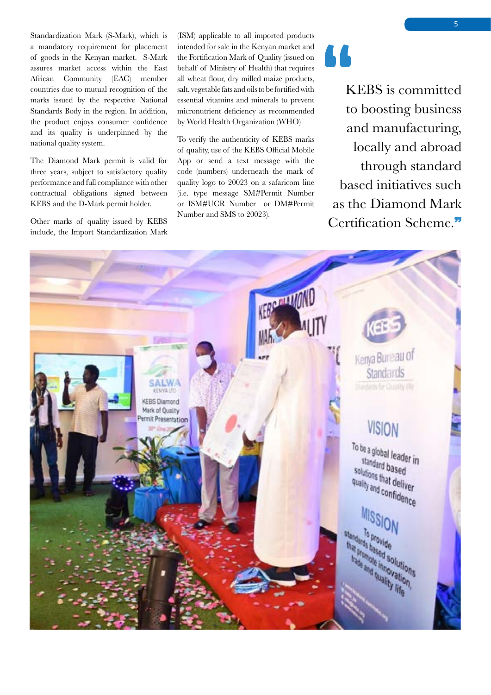Standardization Mark (S-Mark), which is a mandatory requirement for placement of goods in the Kenyan market. S-Mark assures market access within the East African Community (EAC) member countries due to mutual recognition of the marks issued by the respective National Standards Body in the region. In addition, the product enjoys consumer confidence and its quality is underpinned by the national quality system.

The Diamond Mark permit is valid for three years, subject to satisfactory quality performance and full compliance with other contractual obligations signed between KEBS and the D-Mark permit holder.

Other marks of quality issued by KEBS include, the Import Standardization Mark (ISM) applicable to all imported products intended for sale in the Kenyan market and the Fortification Mark of Quality (issued on behalf of Ministry of Health) that requires all wheat flour, dry milled maize products, salt, vegetable fats and oils to be fortified with essential vitamins and minerals to prevent micronutrient deficiency as recommended by World Health Organization (WHO)

To verify the authenticity of KEBS marks of quality, use of the KEBS Official Mobile App or send a text message with the code (numbers) underneath the mark of quality logo to 20023 on a safaricom line (i.e. type message SM#Permit Number or ISM#UCR Number or DM#Permit Number and SMS to 20023).

KEBS is committed to boosting business and manufacturing, locally and abroad through standard based initiatives such as the Diamond Mark Certification Scheme."

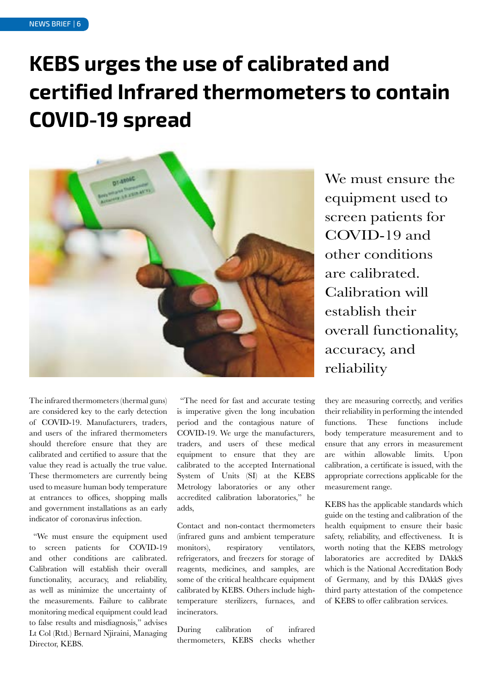## **KEBS urges the use of calibrated and certified Infrared thermometers to contain COVID-19 spread**



We must ensure the equipment used to screen patients for COVID-19 and other conditions are calibrated. Calibration will establish their overall functionality, accuracy, and reliability

The infrared thermometers (thermal guns) are considered key to the early detection of COVID-19. Manufacturers, traders, and users of the infrared thermometers should therefore ensure that they are calibrated and certified to assure that the value they read is actually the true value. These thermometers are currently being used to measure human body temperature at entrances to offices, shopping malls and government installations as an early indicator of coronavirus infection.

 "We must ensure the equipment used to screen patients for COVID-19 and other conditions are calibrated. Calibration will establish their overall functionality, accuracy, and reliability, as well as minimize the uncertainty of the measurements. Failure to calibrate monitoring medical equipment could lead to false results and misdiagnosis," advises Lt Col (Rtd.) Bernard Njiraini, Managing Director, KEBS.

 "The need for fast and accurate testing is imperative given the long incubation period and the contagious nature of COVID-19. We urge the manufacturers, traders, and users of these medical equipment to ensure that they are calibrated to the accepted International System of Units (SI) at the KEBS Metrology laboratories or any other accredited calibration laboratories," he adds,

Contact and non-contact thermometers (infrared guns and ambient temperature monitors), respiratory ventilators, refrigerators, and freezers for storage of reagents, medicines, and samples, are some of the critical healthcare equipment calibrated by KEBS. Others include hightemperature sterilizers, furnaces, and incinerators.

During calibration of infrared thermometers, KEBS checks whether they are measuring correctly, and verifies their reliability in performing the intended functions. These functions include body temperature measurement and to ensure that any errors in measurement are within allowable limits. Upon calibration, a certificate is issued, with the appropriate corrections applicable for the measurement range.

KEBS has the applicable standards which guide on the testing and calibration of the health equipment to ensure their basic safety, reliability, and effectiveness. It is worth noting that the KEBS metrology laboratories are accredited by DAkkS which is the National Accreditation Body of Germany, and by this DAkkS gives third party attestation of the competence of KEBS to offer calibration services.